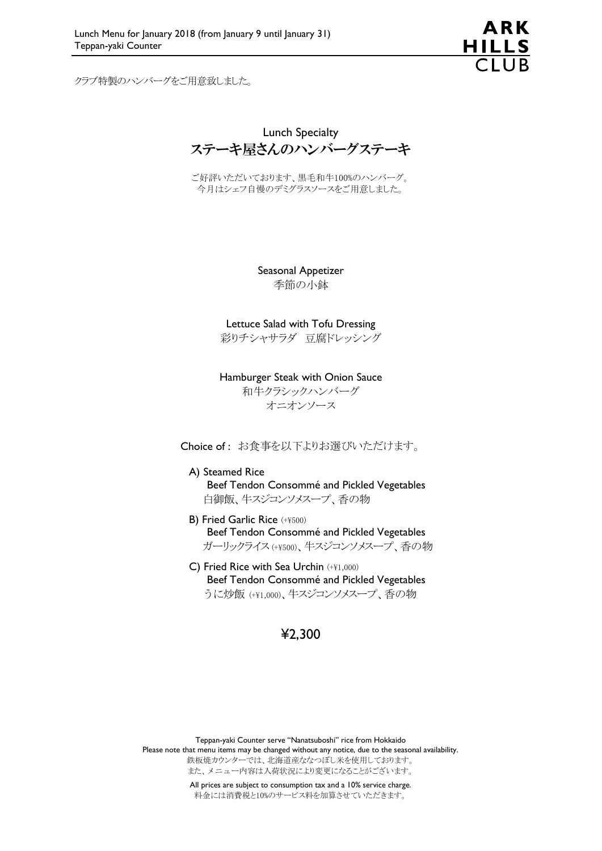ARK **HILLS**  $\overline{C}$ lla

クラブ特製のハンバーグをご用意致しました。

Lunch Specialty ステーキ屋さんのハンバーグステーキ

ご好評いただいております、黒毛和牛100%のハンバーグ。 今月はシェフ自慢のデミグラスソースをご用意しました。

> Seasonal Appetizer 季節の小鉢

Lettuce Salad with Tofu Dressing 彩りチシャサラダ 豆腐ドレッシング

Hamburger Steak with Onion Sauce 和牛クラシックハンバーグ オニオンソース

Choice of : お食事を以下よりお選びいただけます。

A) Steamed Rice Beef Tendon Consommé and Pickled Vegetables 白御飯、牛スジコンソメスープ、香の物

- B) Fried Garlic Rice (+¥500) Beef Tendon Consommé and Pickled Vegetables ガーリックライス (+¥500)、牛スジコンソメスープ、香の物
- C) Fried Rice with Sea Urchin (+¥1,000) Beef Tendon Consommé and Pickled Vegetables うに炒飯 (+¥1,000)、牛スジコンソメスープ、香の物

### ¥2,300

Teppan-yaki Counter serve "Nanatsuboshi" rice from Hokkaido Please note that menu items may be changed without any notice, due to the seasonal availability. 鉄板焼カウンターでは、北海道産ななつぼし米を使用しております。 また、メニュー内容は入荷状況により変更になることがございます。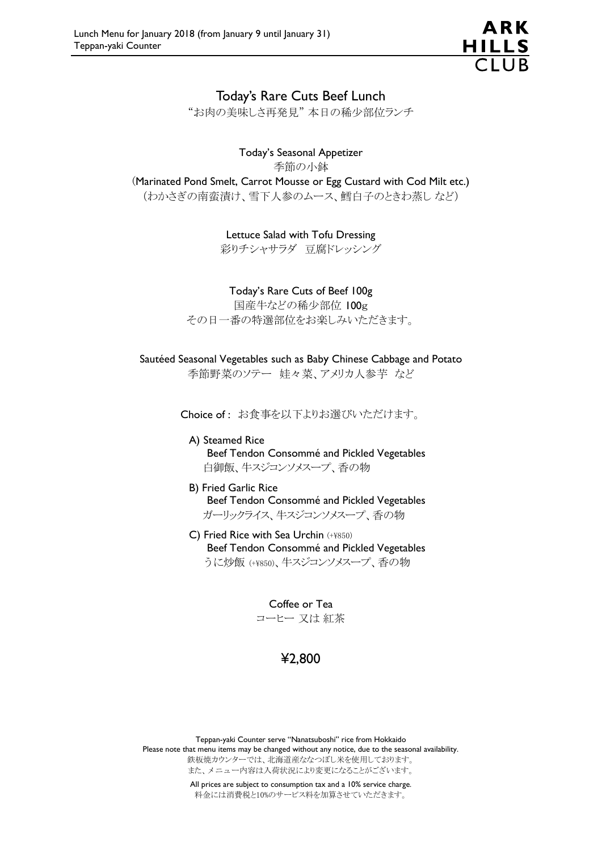

### Today's Rare Cuts Beef Lunch

"お肉の美味しさ再発見" 本日の稀少部位ランチ

### Today's Seasonal Appetizer

季節の小鉢

(Marinated Pond Smelt, Carrot Mousse or Egg Custard with Cod Milt etc.) (わかさぎの南蛮漬け、雪下人参のムース、鱈白子のときわ蒸し など)

> Lettuce Salad with Tofu Dressing 彩りチシャサラダ 豆腐ドレッシング

#### Today's Rare Cuts of Beef 100g

国産牛などの稀少部位 100g その日一番の特選部位をお楽しみいただきます。

#### Sautéed Seasonal Vegetables such as Baby Chinese Cabbage and Potato 季節野菜のソテー 娃々菜、アメリカ人参芋 など

Choice of : お食事を以下よりお選びいただけます。

- A) Steamed Rice Beef Tendon Consommé and Pickled Vegetables 白御飯、牛スジコンソメスープ、香の物
- B) Fried Garlic Rice Beef Tendon Consommé and Pickled Vegetables ガーリックライス、牛スジコンソメスープ、香の物
- C) Fried Rice with Sea Urchin (+¥850) Beef Tendon Consommé and Pickled Vegetables うに炒飯 (+¥850)、牛スジコンソメスープ、香の物

Coffee or Tea コーヒー 又は 紅茶

## ¥2,800

Teppan-yaki Counter serve "Nanatsuboshi" rice from Hokkaido Please note that menu items may be changed without any notice, due to the seasonal availability. 鉄板焼カウンターでは、北海道産ななつぼし米を使用しております。 また、メニュー内容は入荷状況により変更になることがございます。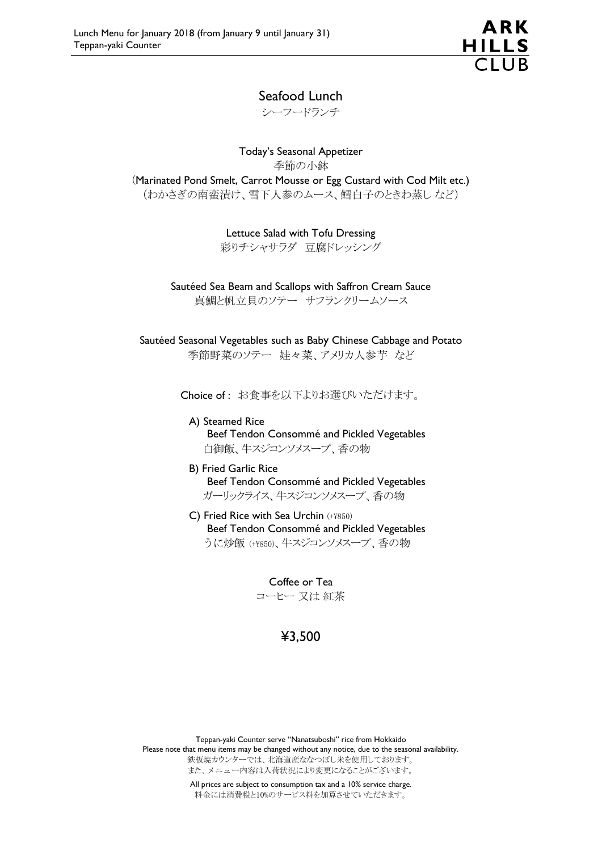## Seafood Lunch

シーフードランチ

Today's Seasonal Appetizer 季節の小鉢 (Marinated Pond Smelt, Carrot Mousse or Egg Custard with Cod Milt etc.) (わかさぎの南蛮漬け、雪下人参のムース、鱈白子のときわ蒸し など)

Lettuce Salad with Tofu Dressing

彩りチシャサラダ 豆腐ドレッシング

Sautéed Sea Beam and Scallops with Saffron Cream Sauce 真鯛と帆立貝のソテー サフランクリームソース

Sautéed Seasonal Vegetables such as Baby Chinese Cabbage and Potato 季節野菜のソテー 娃々菜、アメリカ人参芋 など

Choice of : お食事を以下よりお選びいただけます。

A) Steamed Rice Beef Tendon Consommé and Pickled Vegetables 白御飯、牛スジコンソメスープ、香の物

- B) Fried Garlic Rice Beef Tendon Consommé and Pickled Vegetables ガーリックライス、牛スジコンソメスープ、香の物
- C) Fried Rice with Sea Urchin (+¥850) Beef Tendon Consommé and Pickled Vegetables うに炒飯 (+¥850)、牛スジコンソメスープ、香の物

Coffee or Tea コーヒー 又は 紅茶

## ¥3,500

Teppan-yaki Counter serve "Nanatsuboshi" rice from Hokkaido Please note that menu items may be changed without any notice, due to the seasonal availability. 鉄板焼カウンターでは、北海道産ななつぼし米を使用しております。 また、メニュー内容は入荷状況により変更になることがございます。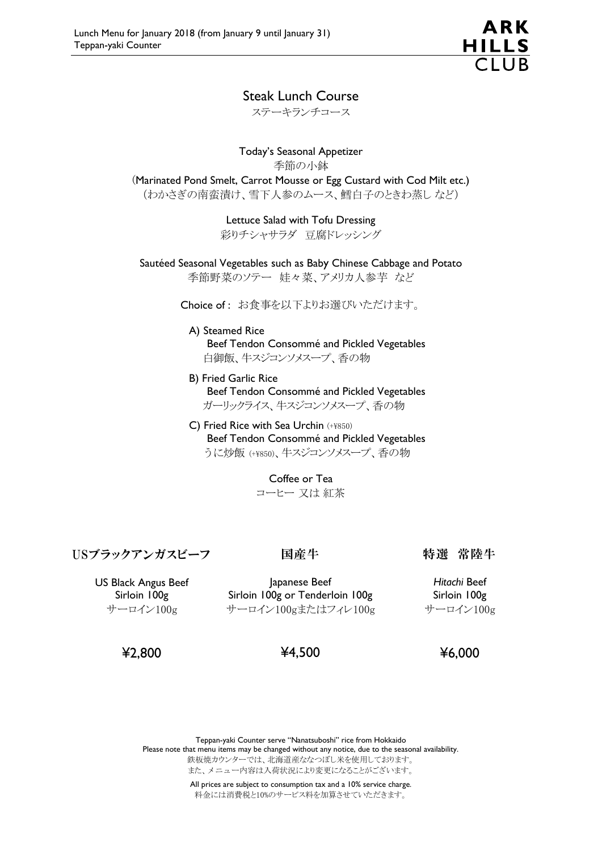

### Steak Lunch Course

ステーキランチコース

Today's Seasonal Appetizer 季節の小鉢 (Marinated Pond Smelt, Carrot Mousse or Egg Custard with Cod Milt etc.) (わかさぎの南蛮漬け、雪下人参のムース、鱈白子のときわ蒸し など)

> Lettuce Salad with Tofu Dressing 彩りチシャサラダ 豆腐ドレッシング

Sautéed Seasonal Vegetables such as Baby Chinese Cabbage and Potato

季節野菜のソテー 娃々菜、アメリカ人参芋 など

Choice of : お食事を以下よりお選びいただけます。

A) Steamed Rice Beef Tendon Consommé and Pickled Vegetables 白御飯、牛スジコンソメスープ、香の物

- B) Fried Garlic Rice Beef Tendon Consommé and Pickled Vegetables ガーリックライス、牛スジコンソメスープ、香の物
- C) Fried Rice with Sea Urchin (+¥850) Beef Tendon Consommé and Pickled Vegetables うに炒飯 (+¥850)、牛スジコンソメスープ、香の物

Coffee or Tea コーヒー 又は 紅茶

## USブラックアンガスビーフ

### 国産牛

特選 常陸牛

US Black Angus Beef Sirloin 100g サーロイン100g

Japanese Beef Sirloin 100g or Tenderloin 100g サーロイン100gまたはフィレ100g

*Hitachi* Beef Sirloin 100g サーロイン100g

¥2,800

## ¥4,500

¥6,000

Teppan-yaki Counter serve "Nanatsuboshi" rice from Hokkaido Please note that menu items may be changed without any notice, due to the seasonal availability. 鉄板焼カウンターでは、北海道産ななつぼし米を使用しております。 また、メニュー内容は入荷状況により変更になることがございます。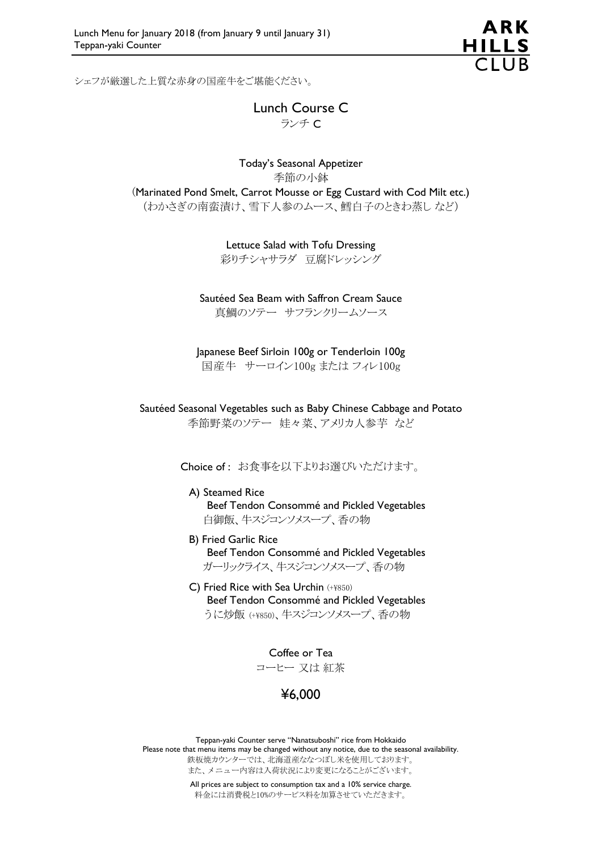シェフが厳選した上質な赤身の国産牛をご堪能ください。

Lunch Course C ランチ C

### Today's Seasonal Appetizer 季節の小鉢 (Marinated Pond Smelt, Carrot Mousse or Egg Custard with Cod Milt etc.) (わかさぎの南蛮漬け、雪下人参のムース、鱈白子のときわ蒸し など)

Lettuce Salad with Tofu Dressing

彩りチシャサラダ 豆腐ドレッシング

Sautéed Sea Beam with Saffron Cream Sauce 真鯛のソテー サフランクリームソース

Japanese Beef Sirloin 100g or Tenderloin 100g 国産牛 サーロイン100g または フィレ100g

Sautéed Seasonal Vegetables such as Baby Chinese Cabbage and Potato 季節野菜のソテー 娃々菜、アメリカ人参芋 など

Choice of : お食事を以下よりお選びいただけます。

#### A) Steamed Rice Beef Tendon Consommé and Pickled Vegetables 白御飯、牛スジコンソメスープ、香の物

- B) Fried Garlic Rice Beef Tendon Consommé and Pickled Vegetables ガーリックライス、牛スジコンソメスープ、香の物
- C) Fried Rice with Sea Urchin (+¥850) Beef Tendon Consommé and Pickled Vegetables うに炒飯 (+¥850)、牛スジコンソメスープ、香の物

Coffee or Tea コーヒー 又は 紅茶

# ¥6,000

Teppan-yaki Counter serve "Nanatsuboshi" rice from Hokkaido Please note that menu items may be changed without any notice, due to the seasonal availability. 鉄板焼カウンターでは、北海道産ななつぼし米を使用しております。 また、メニュー内容は入荷状況により変更になることがございます。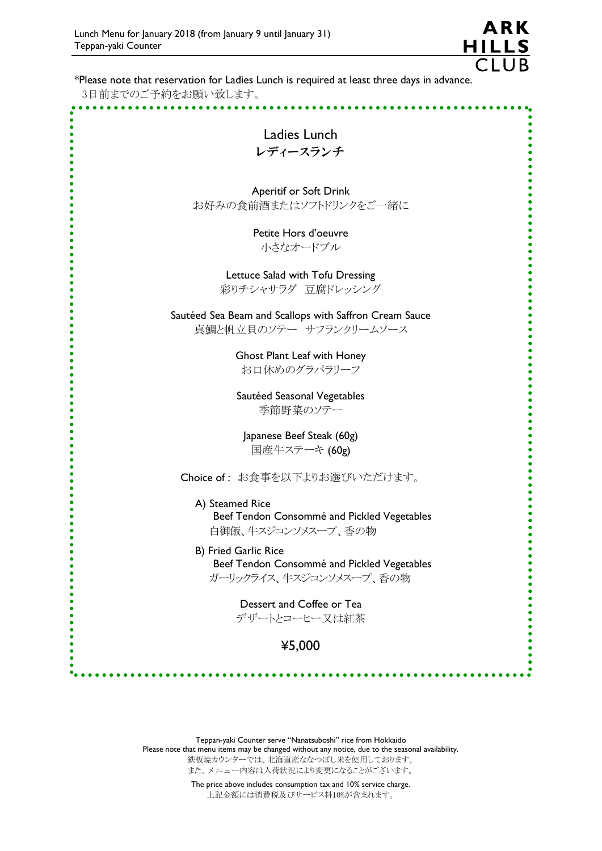$\ddot{\bullet}$ 

 $\ddot{\bullet}$ 

 $\ddot{\bullet}$ 

 $\ddot{\bullet}$  $\ddot{\bullet}$  $\ddot{\bullet}$  $\ddot{\bullet}$  $\ddot{\bullet}$  $\epsilon$  $\ddot{\bullet}$  $\ddot{\bullet}$  $\ddot{\bullet}$  $\bullet$  $\ddot{\bullet}$  $\bullet$  $\ddot{\bullet}$  $\bullet$  $\ddot{\bullet}$  $\bullet$  $\bullet$ 

 $\bullet$  $\bullet$  $\ddot{\bullet}$  $\bullet$  $\ddot{\bullet}$  $\bullet$  $\ddot{\bullet}$ 

 $\overline{C}$ lla \*Please note that reservation for Ladies Lunch is required at least three days in advance. 3日前までのご予約をお願い致します。 **\*\*\*\*\*\*\*\*\*\***  $\bullet_{\mathbf{a}}$  $\bullet$ Ä  $\bullet$ Ladies Lunch レディースランチ Aperitif or Soft Drink お好みの食前酒またはソフトドリンクをご一緒に Petite Hors d'oeuvre 小さなオードブル Lettuce Salad with Tofu Dressing 彩りチシャサラダ 豆腐ドレッシング Sautéed Sea Beam and Scallops with Saffron Cream Sauce 真鯛と帆立貝のソテー サフランクリームソース Ghost Plant Leaf with Honey お口休めのグラパラリーフ Sautéed Seasonal Vegetables 季節野菜のソテー Japanese Beef Steak (60g) 国産牛ステーキ (60g) Choice of : お食事を以下よりお選びいただけます。 A) Steamed Rice Beef Tendon Consommé and Pickled Vegetables 白御飯、牛スジコンソメスープ、香の物 B) Fried Garlic Rice Beef Tendon Consommé and Pickled Vegetables ガーリックライス、牛スジコンソメスープ、香の物 Dessert and Coffee or Tea  $\ddot{\bullet}$ デザートとコーヒー又は紅茶 ¥5,000

ARK

**HILLS** 

Teppan-yaki Counter serve "Nanatsuboshi" rice from Hokkaido Please note that menu items may be changed without any notice, due to the seasonal availability. 鉄板焼カウンターでは、北海道産ななつぼし米を使用しております。 また、メニュー内容は入荷状況により変更になることがございます。

> The price above includes consumption tax and 10% service charge. 上記金額には消費税及びサービス料10%が含まれます。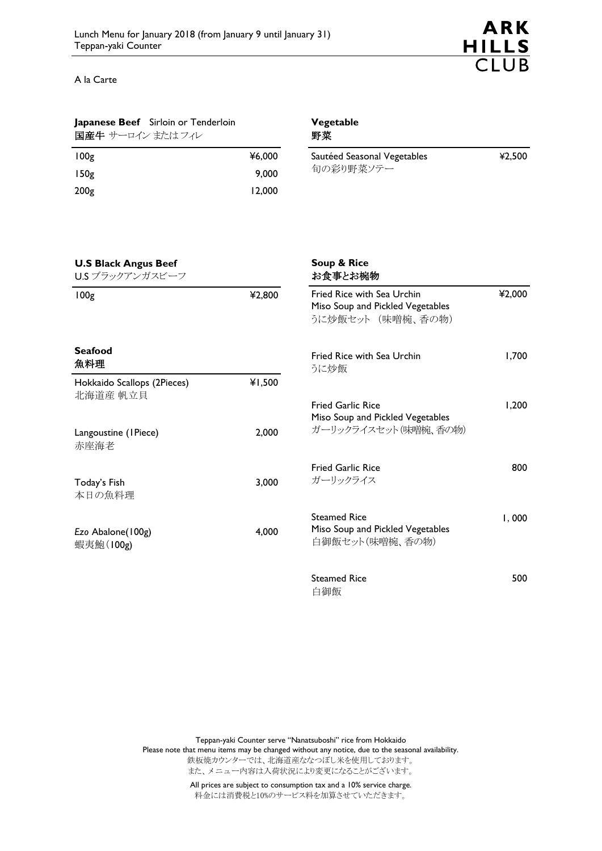

800

A la Carte

**Seafood** 魚料理

赤座海老

Today's Fish 本日の魚料理

*Ezo* Abalone(100g) 蝦夷鮑(100g)

北海道産 帆立貝

Langoustine (1Piece)

### **Japanese Beef** Sirloin or Tenderloin

| 国産牛 サーロイン またはフィレ |        |
|------------------|--------|
| 100g             | ¥6,000 |
| 150g             | 9,000  |

200g 12,000

#### **Vegetable** 野菜

| Sautéed Seasonal Vegetables | ¥2.500 |
|-----------------------------|--------|
| 旬の彩り野菜ソテー                   |        |

#### Hokkaido Scallops (2Pieces) ¥1,500 2,000 3,000 4,000 **Soup & Rice** お食事とお椀物 Fried Rice with Sea Urchin Miso Soup and Pickled Vegetables うに炒飯セット (味噌椀、香の物) ¥2,000 Fried Rice with Sea Urchin うに炒飯 1,700 Fried Garlic Rice Miso Soup and Pickled Vegetables ガーリックライスセット(味噌椀、香の物) 1,200 Fried Garlic Rice ガーリックライス Steamed Rice Miso Soup and Pickled Vegetables 1,000 **U.S Black Angus Beef** U.S ブラックアンガスビーフ 100g ¥2,800

白御飯セット(味噌椀、香の物)

Steamed Rice 白御飯 500

Teppan-yaki Counter serve "Nanatsuboshi" rice from Hokkaido

Please note that menu items may be changed without any notice, due to the seasonal availability.

鉄板焼カウンターでは、北海道産ななつぼし米を使用しております。 また、メニュー内容は入荷状況により変更になることがございます。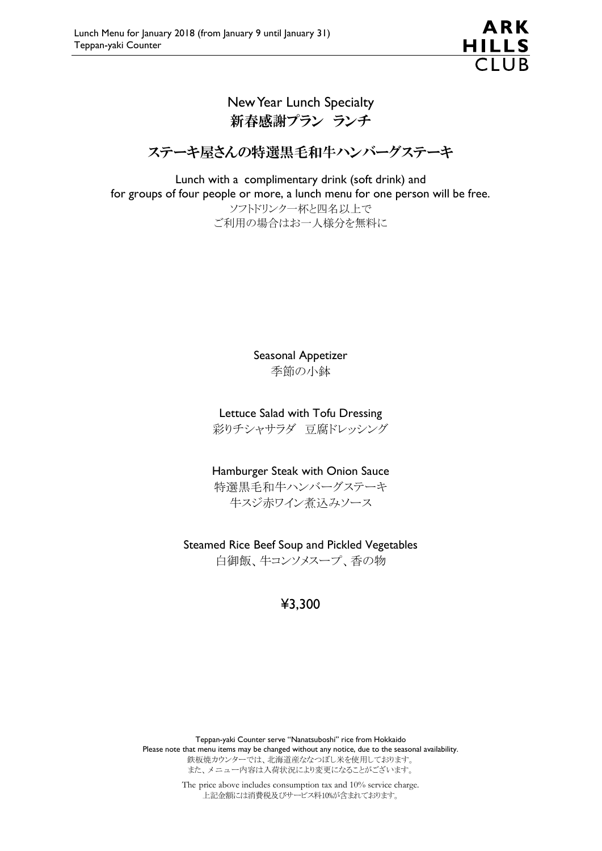## New Year Lunch Specialty 新春感謝プラン ランチ

# ステーキ屋さんの特選黒毛和牛ハンバーグステーキ

Lunch with a complimentary drink (soft drink) and for groups of four people or more, a lunch menu for one person will be free. ソフトドリンク一杯と四名以上で ご利用の場合はお一人様分を無料に

> Seasonal Appetizer 季節の小鉢

Lettuce Salad with Tofu Dressing

彩りチシャサラダ 豆腐ドレッシング

Hamburger Steak with Onion Sauce

特選黒毛和牛ハンバーグステーキ 牛スジ赤ワイン煮込みソース

Steamed Rice Beef Soup and Pickled Vegetables

白御飯、牛コンソメスープ、香の物

# ¥3,300

Teppan-yaki Counter serve "Nanatsuboshi" rice from Hokkaido Please note that menu items may be changed without any notice, due to the seasonal availability. 鉄板焼カウンターでは、北海道産ななつぼし米を使用しております。 また、メニュー内容は入荷状況により変更になることがございます。

> The price above includes consumption tax and 10% service charge. 上記金額には消費税及びサービス料10%が含まれております。